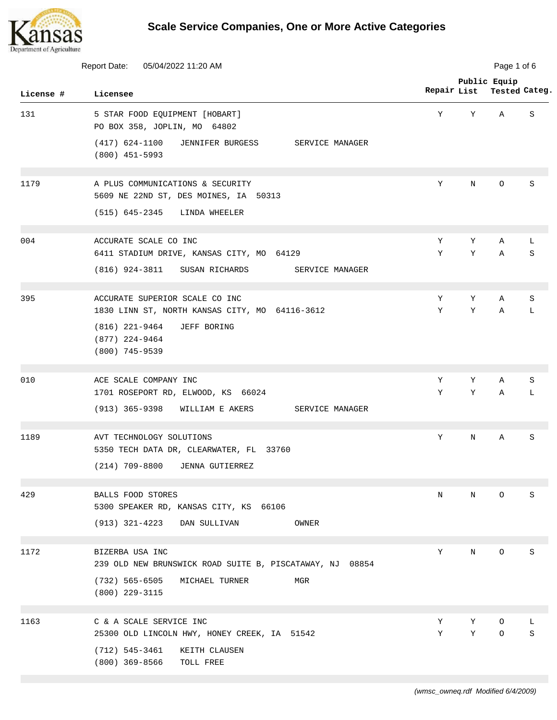

|           | Report Date:<br>05/04/2022 11:20 AM                                              |             | Page 1 of 6 |                               |              |  |
|-----------|----------------------------------------------------------------------------------|-------------|-------------|-------------------------------|--------------|--|
| License # | Licensee                                                                         | Repair List |             | Public Equip<br>Tested Categ. |              |  |
| 131       | 5 STAR FOOD EQUIPMENT [HOBART]<br>PO BOX 358, JOPLIN, MO 64802                   | Υ           | Υ           | Α                             | S            |  |
|           | $(417)$ 624-1100<br>JENNIFER BURGESS<br>SERVICE MANAGER<br>$(800)$ 451-5993      |             |             |                               |              |  |
| 1179      | A PLUS COMMUNICATIONS & SECURITY<br>5609 NE 22ND ST, DES MOINES, IA 50313        | Υ           | N           | O                             | S            |  |
|           | (515) 645-2345<br>LINDA WHEELER                                                  |             |             |                               |              |  |
| 004       | ACCURATE SCALE CO INC<br>6411 STADIUM DRIVE, KANSAS CITY, MO 64129               | Υ<br>Υ      | Y<br>Υ      | Α<br>Α                        | L<br>$\rm S$ |  |
|           | $(816)$ 924-3811<br>SUSAN RICHARDS<br>SERVICE MANAGER                            |             |             |                               |              |  |
| 395       | ACCURATE SUPERIOR SCALE CO INC<br>1830 LINN ST, NORTH KANSAS CITY, MO 64116-3612 | Υ<br>Υ      | Υ<br>Υ      | Α<br>Α                        | S<br>L       |  |
|           | $(816)$ 221-9464<br>JEFF BORING<br>$(877)$ 224-9464<br>$(800)$ 745-9539          |             |             |                               |              |  |
| 010       | ACE SCALE COMPANY INC<br>1701 ROSEPORT RD, ELWOOD, KS 66024                      | Υ<br>Υ      | Υ<br>Υ      | Α<br>Α                        | S<br>L       |  |
|           | $(913) 365 - 9398$<br>WILLIAM E AKERS<br>SERVICE MANAGER                         |             |             |                               |              |  |
| 1189      | AVT TECHNOLOGY SOLUTIONS<br>5350 TECH DATA DR, CLEARWATER, FL 33760              | Y           | N           | Α                             | S            |  |
|           | (214) 709-8800 JENNA GUTIERREZ                                                   |             |             |                               |              |  |
| 429       | BALLS FOOD STORES<br>5300 SPEAKER RD, KANSAS CITY, KS 66106                      | N           | Ν           | O                             | S            |  |
|           | (913) 321-4223<br>DAN SULLIVAN<br>OWNER                                          |             |             |                               |              |  |
| 1172      | BIZERBA USA INC<br>239 OLD NEW BRUNSWICK ROAD SUITE B, PISCATAWAY, NJ 08854      | Υ           | Ν           | O                             | S            |  |
|           | $(732)$ 565-6505<br>MICHAEL TURNER<br>MGR<br>$(800)$ 229-3115                    |             |             |                               |              |  |
| 1163      | C & A SCALE SERVICE INC<br>25300 OLD LINCOLN HWY, HONEY CREEK, IA 51542          | Υ<br>Υ      | Υ<br>Υ      | O<br>O                        | L<br>S       |  |
|           | $(712)$ 545-3461<br>KEITH CLAUSEN<br>$(800)$ 369-8566<br>TOLL FREE               |             |             |                               |              |  |
|           |                                                                                  |             |             |                               |              |  |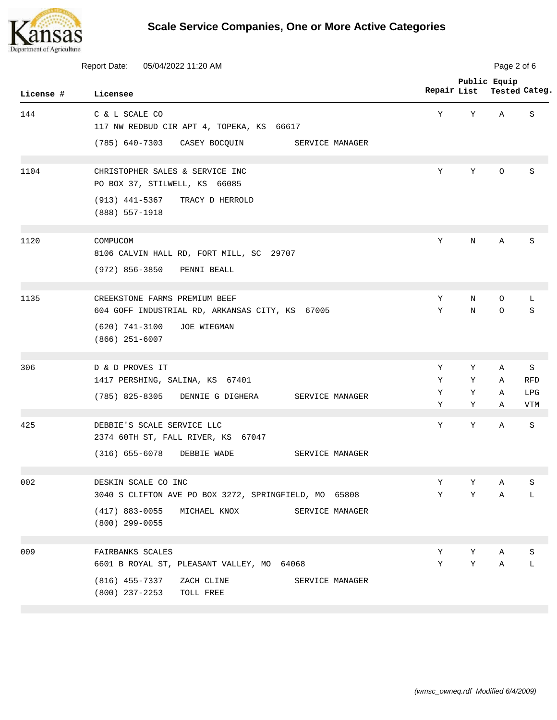

| Report Date:<br>05/04/2022 11:20 AM |                                                                                  |             | Page 2 of 6  |              |                   |  |
|-------------------------------------|----------------------------------------------------------------------------------|-------------|--------------|--------------|-------------------|--|
| License #                           | Licensee                                                                         | Repair List | Public Equip |              | Tested Categ.     |  |
| 144                                 | C & L SCALE CO<br>117 NW REDBUD CIR APT 4, TOPEKA, KS 66617                      | Y           | Υ            | Α            | S                 |  |
|                                     | (785) 640-7303<br>CASEY BOCQUIN<br>SERVICE MANAGER                               |             |              |              |                   |  |
| 1104                                | CHRISTOPHER SALES & SERVICE INC<br>PO BOX 37, STILWELL, KS 66085                 | Y           | Y            | $\circ$      | S                 |  |
|                                     | $(913)$ 441-5367<br>TRACY D HERROLD<br>(888) 557-1918                            |             |              |              |                   |  |
| 1120                                | COMPUCOM<br>8106 CALVIN HALL RD, FORT MILL, SC 29707                             | Υ           | N            | Α            | S                 |  |
|                                     | $(972)$ 856-3850<br>PENNI BEALL                                                  |             |              |              |                   |  |
| 1135                                | CREEKSTONE FARMS PREMIUM BEEF<br>604 GOFF INDUSTRIAL RD, ARKANSAS CITY, KS 67005 | Υ<br>Υ      | N<br>N       | O<br>O       | L<br>S            |  |
|                                     | $(620)$ 741-3100<br>JOE WIEGMAN<br>$(866)$ 251-6007                              |             |              |              |                   |  |
| 306                                 | D & D PROVES IT                                                                  | Y           | Y            | $\mathbb{A}$ | S                 |  |
|                                     | 1417 PERSHING, SALINA, KS 67401                                                  | Υ           | Υ            | Α            | <b>RFD</b>        |  |
|                                     | (785) 825-8305<br>SERVICE MANAGER<br>DENNIE G DIGHERA                            | Υ<br>Υ      | Υ<br>Υ       | Α<br>Α       | LPG<br><b>VTM</b> |  |
| 425                                 | DEBBIE'S SCALE SERVICE LLC<br>2374 60TH ST, FALL RIVER, KS 67047                 | Υ           | Υ            | Α            | S                 |  |
|                                     | $(316)$ 655-6078<br>DEBBIE WADE<br>SERVICE MANAGER                               |             |              |              |                   |  |
| 002                                 | DESKIN SCALE CO INC                                                              | Υ           | Υ            | Α            | S                 |  |
|                                     | 3040 S CLIFTON AVE PO BOX 3272, SPRINGFIELD, MO 65808                            | Υ           | Υ            | Α            | L                 |  |
|                                     | $(417)$ 883-0055<br>MICHAEL KNOX<br>SERVICE MANAGER<br>$(800)$ 299-0055          |             |              |              |                   |  |
| 009                                 | FAIRBANKS SCALES                                                                 | Υ           | Υ            | Α            | S                 |  |
|                                     | 6601 B ROYAL ST, PLEASANT VALLEY, MO 64068                                       | Υ           | Υ            | Α            | L                 |  |
|                                     | $(816)$ 455-7337<br>ZACH CLINE<br>SERVICE MANAGER<br>(800) 237-2253<br>TOLL FREE |             |              |              |                   |  |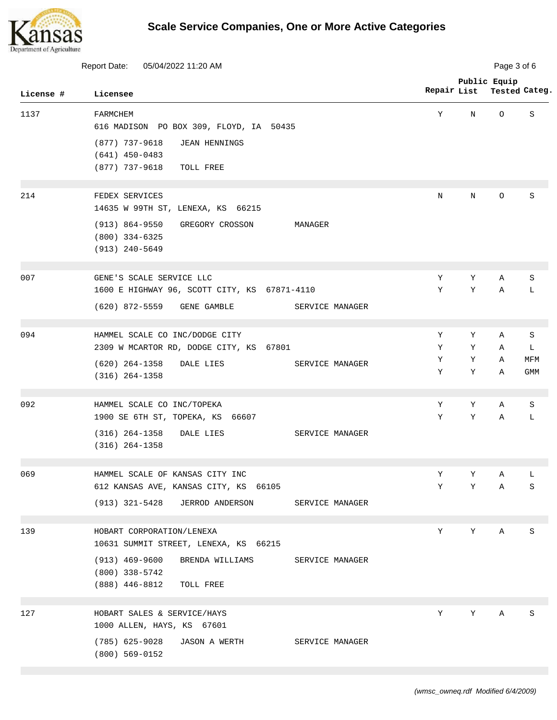

| <b>Report Date:</b><br>05/04/2022 11:20 AM |                                                                                                             |             | Page 3 of 6 |                               |                   |  |
|--------------------------------------------|-------------------------------------------------------------------------------------------------------------|-------------|-------------|-------------------------------|-------------------|--|
| License #                                  | Licensee                                                                                                    | Repair List |             | Public Equip<br>Tested Categ. |                   |  |
| 1137                                       | FARMCHEM<br>616 MADISON PO BOX 309, FLOYD, IA 50435                                                         | Y           | N           | $\circ$                       | S                 |  |
|                                            | $(877)$ 737-9618<br><b>JEAN HENNINGS</b><br>$(641)$ 450-0483<br>(877) 737-9618<br>TOLL FREE                 |             |             |                               |                   |  |
| 214                                        | FEDEX SERVICES<br>14635 W 99TH ST, LENEXA, KS 66215                                                         | $\mathbf N$ | N           | $\circ$                       | S                 |  |
|                                            | $(913) 864 - 9550$<br>GREGORY CROSSON<br>MANAGER<br>$(800)$ 334-6325<br>(913) 240-5649                      |             |             |                               |                   |  |
| 007                                        | GENE'S SCALE SERVICE LLC<br>1600 E HIGHWAY 96, SCOTT CITY, KS 67871-4110                                    | Υ<br>Υ      | Υ<br>Υ      | Α<br>Α                        | S<br>L            |  |
|                                            | (620) 872-5559<br>GENE GAMBLE<br>SERVICE MANAGER                                                            |             |             |                               |                   |  |
| 094                                        | HAMMEL SCALE CO INC/DODGE CITY<br>2309 W MCARTOR RD, DODGE CITY, KS 67801                                   | Y<br>Y      | Y<br>Y      | Α<br>$\mathbb{A}$             | S<br>L            |  |
|                                            | $(620)$ 264-1358<br>DALE LIES<br>SERVICE MANAGER<br>$(316)$ 264-1358                                        | Υ<br>Υ      | Υ<br>Υ      | Α<br>Α                        | MFM<br><b>GMM</b> |  |
| 092                                        | HAMMEL SCALE CO INC/TOPEKA<br>1900 SE 6TH ST, TOPEKA, KS 66607                                              | Υ<br>Υ      | Υ<br>Υ      | Α<br>Α                        | S<br>L            |  |
|                                            | $(316) 264-1358$<br>DALE LIES<br>SERVICE MANAGER<br>$(316) 264 - 1358$                                      |             |             |                               |                   |  |
| 069                                        | HAMMEL SCALE OF KANSAS CITY INC<br>612 KANSAS AVE, KANSAS CITY, KS 66105                                    | Υ<br>Y      | Υ<br>Y      | Α<br>Α                        | L<br>S            |  |
|                                            | (913) 321-5428<br>JERROD ANDERSON<br>SERVICE MANAGER                                                        |             |             |                               |                   |  |
| 139                                        | HOBART CORPORATION/LENEXA<br>10631 SUMMIT STREET, LENEXA, KS 66215                                          | Y           | Υ           | Α                             | S                 |  |
|                                            | $(913)$ 469-9600<br>BRENDA WILLIAMS<br>SERVICE MANAGER<br>$(800)$ 338-5742<br>$(888)$ 446-8812<br>TOLL FREE |             |             |                               |                   |  |
| 127                                        | HOBART SALES & SERVICE/HAYS<br>1000 ALLEN, HAYS, KS 67601                                                   | Y           | Y           | Α                             | S                 |  |
|                                            | $(785)$ 625-9028<br>JASON A WERTH<br>SERVICE MANAGER<br>$(800)$ 569-0152                                    |             |             |                               |                   |  |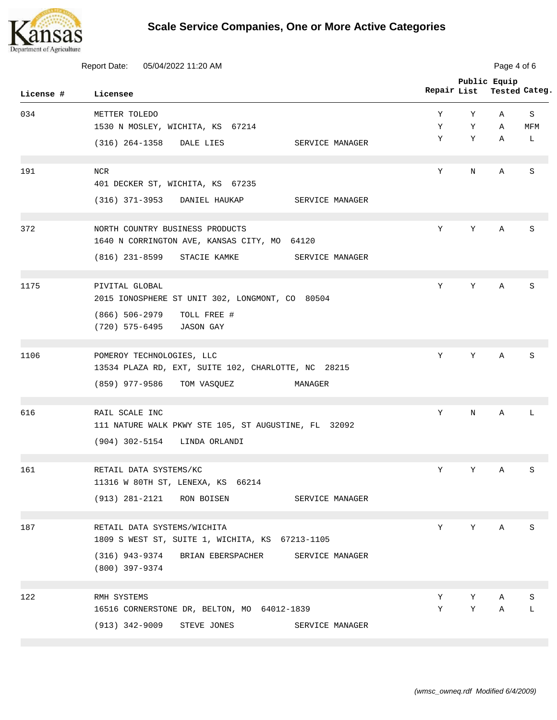

| Report Date:<br>05/04/2022 11:20 AM |                                                                                  |             | Page 4 of 6 |                               |          |  |
|-------------------------------------|----------------------------------------------------------------------------------|-------------|-------------|-------------------------------|----------|--|
| License #                           | Licensee                                                                         | Repair List |             | Public Equip<br>Tested Categ. |          |  |
| 034                                 | METTER TOLEDO<br>1530 N MOSLEY, WICHITA, KS 67214                                | Υ<br>Υ      | Y<br>Y      | Α<br>Α                        | S<br>MFM |  |
|                                     | (316) 264-1358<br>DALE LIES<br>SERVICE MANAGER                                   | Υ           | Y           | Α                             | L        |  |
| 191                                 | <b>NCR</b><br>401 DECKER ST, WICHITA, KS 67235                                   | Y           | N           | Α                             | S        |  |
|                                     | (316) 371-3953 DANIEL HAUKAP<br>SERVICE MANAGER                                  |             |             |                               |          |  |
| 372                                 | NORTH COUNTRY BUSINESS PRODUCTS<br>1640 N CORRINGTON AVE, KANSAS CITY, MO 64120  | Y           | Υ           | Α                             | S        |  |
|                                     | $(816)$ 231-8599<br>STACIE KAMKE<br>SERVICE MANAGER                              |             |             |                               |          |  |
| 1175                                | PIVITAL GLOBAL<br>2015 IONOSPHERE ST UNIT 302, LONGMONT, CO 80504                | Υ           | Y           | Α                             | S        |  |
|                                     | $(866) 506 - 2979$<br>TOLL FREE #<br>(720) 575-6495<br><b>JASON GAY</b>          |             |             |                               |          |  |
| 1106                                | POMEROY TECHNOLOGIES, LLC<br>13534 PLAZA RD, EXT, SUITE 102, CHARLOTTE, NC 28215 | Y           | Y           | $\mathbb{A}$                  | S        |  |
|                                     | (859) 977-9586<br>TOM VASQUEZ<br>MANAGER                                         |             |             |                               |          |  |
| 616                                 | RAIL SCALE INC<br>111 NATURE WALK PKWY STE 105, ST AUGUSTINE, FL 32092           | Υ           | N           | Α                             | L        |  |
|                                     | $(904)$ 302-5154<br>LINDA ORLANDI                                                |             |             |                               |          |  |
| 161                                 | RETAIL DATA SYSTEMS/KC<br>11316 W 80TH ST, LENEXA, KS 66214                      | Υ           | Υ           | Α                             | S        |  |
|                                     | (913) 281-2121<br>SERVICE MANAGER<br>RON BOISEN                                  |             |             |                               |          |  |
| 187                                 | RETAIL DATA SYSTEMS/WICHITA<br>1809 S WEST ST, SUITE 1, WICHITA, KS 67213-1105   | Υ           | Υ           | Α                             | S        |  |
|                                     | (316) 943-9374<br>BRIAN EBERSPACHER<br>SERVICE MANAGER<br>$(800)$ 397-9374       |             |             |                               |          |  |
| 122                                 | RMH SYSTEMS                                                                      | Υ           | Υ           | Α                             | S        |  |
|                                     | 16516 CORNERSTONE DR, BELTON, MO 64012-1839                                      | Υ           | Υ           | Α                             | L        |  |
|                                     | $(913) 342 - 9009$<br>STEVE JONES<br>SERVICE MANAGER                             |             |             |                               |          |  |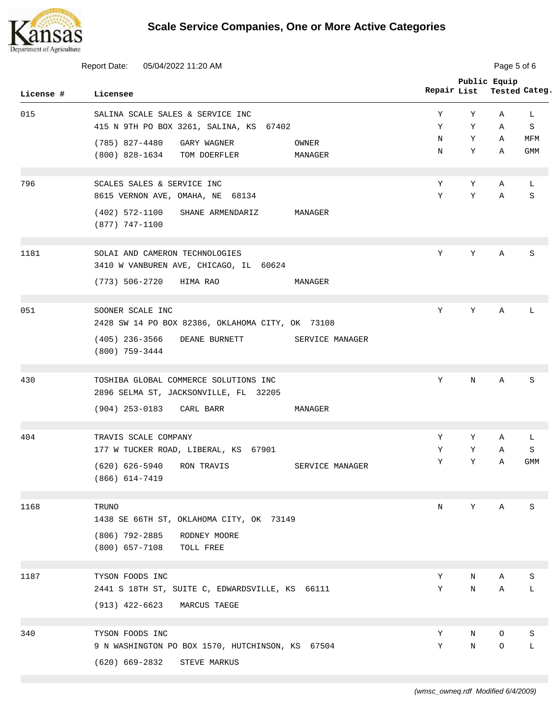

| <b>Report Date:</b><br>05/04/2022 11:20 AM |                                                                              |             | Page 5 of 6 |              |               |  |
|--------------------------------------------|------------------------------------------------------------------------------|-------------|-------------|--------------|---------------|--|
| License #                                  | Licensee                                                                     | Repair List |             | Public Equip | Tested Categ. |  |
| 015                                        | SALINA SCALE SALES & SERVICE INC                                             | Υ           | Υ           | Α            | L             |  |
|                                            | 415 N 9TH PO BOX 3261, SALINA, KS 67402                                      | Υ           | Υ           | Α            | S             |  |
|                                            | $(785)$ 827-4480<br>GARY WAGNER<br>OWNER                                     | N           | Υ           | Α            | MFM           |  |
|                                            | (800) 828-1634<br>TOM DOERFLER<br>MANAGER                                    | N           | Υ           | Α            | <b>GMM</b>    |  |
| 796                                        | SCALES SALES & SERVICE INC                                                   | Υ           | Υ           | Α            | L             |  |
|                                            | 8615 VERNON AVE, OMAHA, NE 68134                                             | Y           | Υ           | Α            | S             |  |
|                                            | $(402)$ 572-1100<br>SHANE ARMENDARIZ<br>MANAGER<br>$(877)$ 747-1100          |             |             |              |               |  |
| 1181                                       | SOLAI AND CAMERON TECHNOLOGIES<br>3410 W VANBUREN AVE, CHICAGO, IL 60624     | Υ           | Υ           | Α            | S             |  |
|                                            | (773) 506-2720<br>HIMA RAO<br>MANAGER                                        |             |             |              |               |  |
| 051                                        | SOONER SCALE INC                                                             | Y           | Y           | Α            | L             |  |
|                                            | 2428 SW 14 PO BOX 82386, OKLAHOMA CITY, OK 73108                             |             |             |              |               |  |
|                                            | $(405)$ 236-3566<br>DEANE BURNETT<br>SERVICE MANAGER<br>$(800)$ 759-3444     |             |             |              |               |  |
| 430                                        | TOSHIBA GLOBAL COMMERCE SOLUTIONS INC                                        | Υ           | N           | Α            | S             |  |
|                                            | 2896 SELMA ST, JACKSONVILLE, FL 32205<br>(904) 253-0183 CARL BARR<br>MANAGER |             |             |              |               |  |
| 404                                        | TRAVIS SCALE COMPANY                                                         | Y           | Y           | Α            | L             |  |
|                                            | 177 W TUCKER ROAD, LIBERAL, KS 67901                                         | Υ           | Y           | Α            | S             |  |
|                                            | (620) 626-5940<br>RON TRAVIS<br>SERVICE MANAGER<br>$(866)$ $614-7419$        | Υ           | Υ           | Α            | GMM           |  |
| 1168                                       | TRUNO                                                                        | N           | Υ           | Α            | S             |  |
|                                            | 1438 SE 66TH ST, OKLAHOMA CITY, OK 73149                                     |             |             |              |               |  |
|                                            | $(806)$ 792-2885<br>RODNEY MOORE<br>$(800)$ 657-7108<br>TOLL FREE            |             |             |              |               |  |
| 1187                                       | TYSON FOODS INC                                                              | Υ           | N           | Α            | S             |  |
|                                            | 2441 S 18TH ST, SUITE C, EDWARDSVILLE, KS 66111                              | Υ           | N           | Α            | L             |  |
|                                            | (913) 422-6623<br>MARCUS TAEGE                                               |             |             |              |               |  |
| 340                                        | TYSON FOODS INC                                                              | Y           | N           | O            | S             |  |
|                                            | 9 N WASHINGTON PO BOX 1570, HUTCHINSON, KS 67504                             | Υ           | $\rm N$     | O            | L             |  |
|                                            | $(620) 669 - 2832$<br>STEVE MARKUS                                           |             |             |              |               |  |